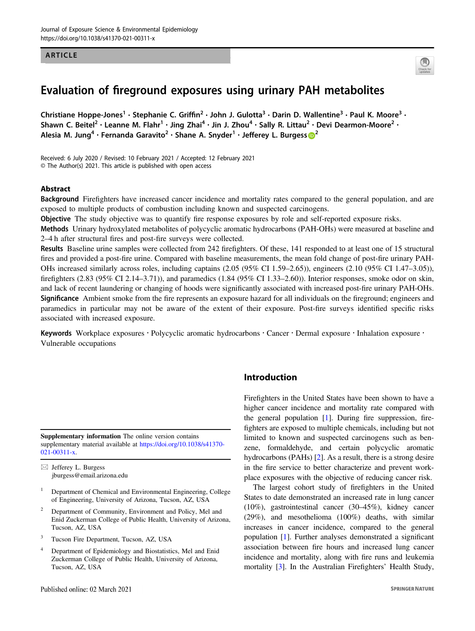#### ARTICLE



# Evaluation of fireground exposures using urinary PAH metabolites

Christiane Hoppe-Jones<sup>1</sup> • Stephanie C. Griffin<sup>2</sup> • John J. Gulotta<sup>3</sup> • Darin D. Wallentine<sup>3</sup> • Paul K. Moore<sup>3</sup> • Shawn C. Beitel<sup>2</sup> • Leanne M. Flahr<sup>1</sup> • Jing Zhai<sup>4</sup> • Jin J. Zhou<sup>4</sup> • Sally R. Littau<sup>2</sup> • Devi Dearmon-Moore<sup>2</sup> • Alesia M. Jung<sup>4</sup> · Fernanda Garavito<sup>[2](http://orcid.org/0000-0003-2362-9509)</sup> · Shane A. Snyder<sup>1</sup> · Jefferey L. Burgess **@**<sup>2</sup>

Received: 6 July 2020 / Revised: 10 February 2021 / Accepted: 12 February 2021 © The Author(s) 2021. This article is published with open access

#### Abstract

Background Firefighters have increased cancer incidence and mortality rates compared to the general population, and are exposed to multiple products of combustion including known and suspected carcinogens.

**Objective** The study objective was to quantify fire response exposures by role and self-reported exposure risks.

Methods Urinary hydroxylated metabolites of polycyclic aromatic hydrocarbons (PAH-OHs) were measured at baseline and 2–4 h after structural fires and post-fire surveys were collected.

Results Baseline urine samples were collected from 242 firefighters. Of these, 141 responded to at least one of 15 structural fires and provided a post-fire urine. Compared with baseline measurements, the mean fold change of post-fire urinary PAH-OHs increased similarly across roles, including captains (2.05 (95% CI 1.59–2.65)), engineers (2.10 (95% CI 1.47–3.05)), firefighters (2.83 (95% CI 2.14–3.71)), and paramedics (1.84 (95% CI 1.33–2.60)). Interior responses, smoke odor on skin, and lack of recent laundering or changing of hoods were significantly associated with increased post-fire urinary PAH-OHs. Significance Ambient smoke from the fire represents an exposure hazard for all individuals on the fireground; engineers and paramedics in particular may not be aware of the extent of their exposure. Post-fire surveys identified specific risks associated with increased exposure.

Keywords Workplace exposures · Polycyclic aromatic hydrocarbons · Cancer · Dermal exposure · Inhalation exposure · Vulnerable occupations

Supplementary information The online version contains supplementary material available at [https://doi.org/10.1038/s41370-](https://doi.org/10.1038/s41370-021-00311-x) [021-00311-x.](https://doi.org/10.1038/s41370-021-00311-x)

 $\boxtimes$  Jefferey L. Burgess [jburgess@email.arizona.edu](mailto:jburgess@email.arizona.edu)

- <sup>1</sup> Department of Chemical and Environmental Engineering, College of Engineering, University of Arizona, Tucson, AZ, USA
- <sup>2</sup> Department of Community, Environment and Policy, Mel and Enid Zuckerman College of Public Health, University of Arizona, Tucson, AZ, USA
- <sup>3</sup> Tucson Fire Department, Tucson, AZ, USA
- <sup>4</sup> Department of Epidemiology and Biostatistics, Mel and Enid Zuckerman College of Public Health, University of Arizona, Tucson, AZ, USA

## Introduction

Firefighters in the United States have been shown to have a higher cancer incidence and mortality rate compared with the general population [\[1](#page-8-0)]. During fire suppression, firefighters are exposed to multiple chemicals, including but not limited to known and suspected carcinogens such as benzene, formaldehyde, and certain polycyclic aromatic hydrocarbons (PAHs) [\[2](#page-8-0)]. As a result, there is a strong desire in the fire service to better characterize and prevent workplace exposures with the objective of reducing cancer risk.

The largest cohort study of firefighters in the United States to date demonstrated an increased rate in lung cancer (10%), gastrointestinal cancer (30–45%), kidney cancer (29%), and mesothelioma (100%) deaths, with similar increases in cancer incidence, compared to the general population [\[1](#page-8-0)]. Further analyses demonstrated a significant association between fire hours and increased lung cancer incidence and mortality, along with fire runs and leukemia mortality [\[3\]](#page-8-0). In the Australian Firefighters' Health Study,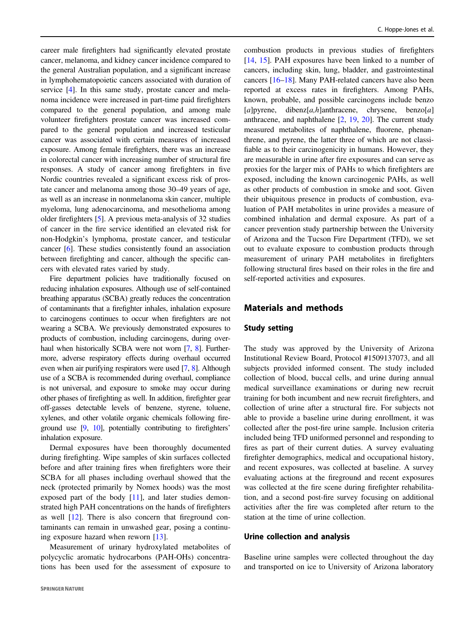career male firefighters had significantly elevated prostate cancer, melanoma, and kidney cancer incidence compared to the general Australian population, and a significant increase in lymphohematopoietic cancers associated with duration of service [\[4\]](#page-8-0). In this same study, prostate cancer and melanoma incidence were increased in part-time paid firefighters compared to the general population, and among male volunteer firefighters prostate cancer was increased compared to the general population and increased testicular cancer was associated with certain measures of increased exposure. Among female firefighters, there was an increase in colorectal cancer with increasing number of structural fire responses. A study of cancer among firefighters in five Nordic countries revealed a significant excess risk of prostate cancer and melanoma among those 30–49 years of age, as well as an increase in nonmelanoma skin cancer, multiple myeloma, lung adenocarcinoma, and mesothelioma among older firefighters [\[5](#page-8-0)]. A previous meta-analysis of 32 studies of cancer in the fire service identified an elevated risk for non-Hodgkin's lymphoma, prostate cancer, and testicular cancer [\[6](#page-8-0)]. These studies consistently found an association between firefighting and cancer, although the specific cancers with elevated rates varied by study.

Fire department policies have traditionally focused on reducing inhalation exposures. Although use of self-contained breathing apparatus (SCBA) greatly reduces the concentration of contaminants that a firefighter inhales, inhalation exposure to carcinogens continues to occur when firefighters are not wearing a SCBA. We previously demonstrated exposures to products of combustion, including carcinogens, during over-haul when historically SCBA were not worn [[7,](#page-8-0) [8](#page-8-0)]. Furthermore, adverse respiratory effects during overhaul occurred even when air purifying respirators were used [[7](#page-8-0), [8](#page-8-0)]. Although use of a SCBA is recommended during overhaul, compliance is not universal, and exposure to smoke may occur during other phases of firefighting as well. In addition, firefighter gear off-gasses detectable levels of benzene, styrene, toluene, xylenes, and other volatile organic chemicals following fireground use [\[9,](#page-8-0) [10\]](#page-8-0), potentially contributing to firefighters' inhalation exposure.

Dermal exposures have been thoroughly documented during firefighting. Wipe samples of skin surfaces collected before and after training fires when firefighters wore their SCBA for all phases including overhaul showed that the neck (protected primarily by Nomex hoods) was the most exposed part of the body [\[11](#page-8-0)], and later studies demonstrated high PAH concentrations on the hands of firefighters as well [\[12](#page-8-0)]. There is also concern that fireground contaminants can remain in unwashed gear, posing a continuing exposure hazard when reworn [\[13](#page-8-0)].

Measurement of urinary hydroxylated metabolites of polycyclic aromatic hydrocarbons (PAH-OHs) concentrations has been used for the assessment of exposure to

combustion products in previous studies of firefighters [\[14](#page-8-0), [15](#page-9-0)]. PAH exposures have been linked to a number of cancers, including skin, lung, bladder, and gastrointestinal cancers [[16](#page-9-0)–[18\]](#page-9-0). Many PAH-related cancers have also been reported at excess rates in firefighters. Among PAHs, known, probable, and possible carcinogens include benzo  $[a]$ pyrene, dibenz $[a,h]$ anthracene, chrysene, benzo $[a]$ anthracene, and naphthalene [[2,](#page-8-0) [19,](#page-9-0) [20\]](#page-9-0). The current study measured metabolites of naphthalene, fluorene, phenanthrene, and pyrene, the latter three of which are not classifiable as to their carcinogenicity in humans. However, they are measurable in urine after fire exposures and can serve as proxies for the larger mix of PAHs to which firefighters are exposed, including the known carcinogenic PAHs, as well as other products of combustion in smoke and soot. Given their ubiquitous presence in products of combustion, evaluation of PAH metabolites in urine provides a measure of combined inhalation and dermal exposure. As part of a cancer prevention study partnership between the University of Arizona and the Tucson Fire Department (TFD), we set out to evaluate exposure to combustion products through measurement of urinary PAH metabolites in firefighters following structural fires based on their roles in the fire and self-reported activities and exposures.

## Materials and methods

#### Study setting

The study was approved by the University of Arizona Institutional Review Board, Protocol #1509137073, and all subjects provided informed consent. The study included collection of blood, buccal cells, and urine during annual medical surveillance examinations or during new recruit training for both incumbent and new recruit firefighters, and collection of urine after a structural fire. For subjects not able to provide a baseline urine during enrollment, it was collected after the post-fire urine sample. Inclusion criteria included being TFD uniformed personnel and responding to fires as part of their current duties. A survey evaluating firefighter demographics, medical and occupational history, and recent exposures, was collected at baseline. A survey evaluating actions at the fireground and recent exposures was collected at the fire scene during firefighter rehabilitation, and a second post-fire survey focusing on additional activities after the fire was completed after return to the station at the time of urine collection.

#### Urine collection and analysis

Baseline urine samples were collected throughout the day and transported on ice to University of Arizona laboratory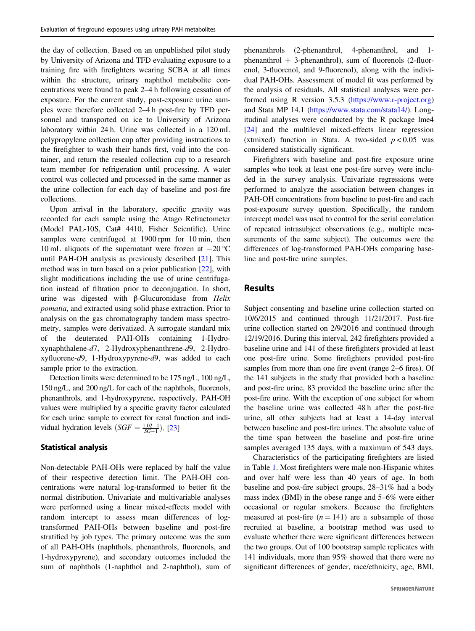the day of collection. Based on an unpublished pilot study by University of Arizona and TFD evaluating exposure to a training fire with firefighters wearing SCBA at all times within the structure, urinary naphthol metabolite concentrations were found to peak 2–4 h following cessation of exposure. For the current study, post-exposure urine samples were therefore collected 2–4 h post-fire by TFD personnel and transported on ice to University of Arizona laboratory within 24 h. Urine was collected in a 120 mL polypropylene collection cup after providing instructions to the firefighter to wash their hands first, void into the container, and return the resealed collection cup to a research team member for refrigeration until processing. A water control was collected and processed in the same manner as the urine collection for each day of baseline and post-fire collections.

Upon arrival in the laboratory, specific gravity was recorded for each sample using the Atago Refractometer (Model PAL-10S, Cat# 4410, Fisher Scientific). Urine samples were centrifuged at 1900 rpm for 10 min, then 10 mL aliquots of the supernatant were frozen at −20 °C until PAH-OH analysis as previously described [\[21](#page-9-0)]. This method was in turn based on a prior publication [[22\]](#page-9-0), with slight modifications including the use of urine centrifugation instead of filtration prior to deconjugation. In short, urine was digested with β-Glucuronidase from  $Helix$ pomatia, and extracted using solid phase extraction. Prior to analysis on the gas chromatography tandem mass spectrometry, samples were derivatized. A surrogate standard mix of the deuterated PAH-OHs containing 1-Hydroxynaphthalene-d7, 2-Hydroxyphenanthrene-d9, 2-Hydroxyfluorene-d9, 1-Hydroxypyrene-d9, was added to each sample prior to the extraction.

Detection limits were determined to be 175 ng/L, 100 ng/L, 150 ng/L, and 200 ng/L for each of the naphthols, fluorenols, phenanthrols, and 1-hydroxypyrene, respectively. PAH-OH values were multiplied by a specific gravity factor calculated for each urine sample to correct for renal function and individual hydration levels  $(SGF = \frac{1.02-1}{SG-1})$ . [[23](#page-9-0)]

#### Statistical analysis

Non-detectable PAH-OHs were replaced by half the value of their respective detection limit. The PAH-OH concentrations were natural log-transformed to better fit the normal distribution. Univariate and multivariable analyses were performed using a linear mixed-effects model with random intercept to assess mean differences of logtransformed PAH-OHs between baseline and post-fire stratified by job types. The primary outcome was the sum of all PAH-OHs (naphthols, phenanthrols, fluorenols, and 1-hydroxypyrene), and secondary outcomes included the sum of naphthols (1-naphthol and 2-naphthol), sum of phenanthrols (2-phenanthrol, 4-phenanthrol, and 1 phenanthrol  $+$  3-phenanthrol), sum of fluorenols (2-fluorenol, 3-fluorenol, and 9-fluorenol), along with the individual PAH-OHs. Assessment of model fit was performed by the analysis of residuals. All statistical analyses were performed using R version 3.5.3 [\(https://www.r-project.org](https://www.r-project.org)) and Stata MP 14.1 ([https://www.stata.com/stata14/\)](https://www.stata.com/stata14/). Longitudinal analyses were conducted by the R package lme4 [\[24](#page-9-0)] and the multilevel mixed-effects linear regression (xtmixed) function in Stata. A two-sided  $p < 0.05$  was considered statistically significant.

Firefighters with baseline and post-fire exposure urine samples who took at least one post-fire survey were included in the survey analysis. Univariate regressions were performed to analyze the association between changes in PAH-OH concentrations from baseline to post-fire and each post-exposure survey question. Specifically, the random intercept model was used to control for the serial correlation of repeated intrasubject observations (e.g., multiple measurements of the same subject). The outcomes were the differences of log-transformed PAH-OHs comparing baseline and post-fire urine samples.

## Results

Subject consenting and baseline urine collection started on 10/6/2015 and continued through 11/21/2017. Post-fire urine collection started on 2/9/2016 and continued through 12/19/2016. During this interval, 242 firefighters provided a baseline urine and 141 of these firefighters provided at least one post-fire urine. Some firefighters provided post-fire samples from more than one fire event (range 2–6 fires). Of the 141 subjects in the study that provided both a baseline and post-fire urine, 83 provided the baseline urine after the post-fire urine. With the exception of one subject for whom the baseline urine was collected 48 h after the post-fire urine, all other subjects had at least a 14-day interval between baseline and post-fire urines. The absolute value of the time span between the baseline and post-fire urine samples averaged 135 days, with a maximum of 543 days.

Characteristics of the participating firefighters are listed in Table [1](#page-3-0). Most firefighters were male non-Hispanic whites and over half were less than 40 years of age. In both baseline and post-fire subject groups, 28–31% had a body mass index (BMI) in the obese range and 5–6% were either occasional or regular smokers. Because the firefighters measured at post-fire  $(n = 141)$  are a subsample of those recruited at baseline, a bootstrap method was used to evaluate whether there were significant differences between the two groups. Out of 100 bootstrap sample replicates with 141 individuals, more than 95% showed that there were no significant differences of gender, race/ethnicity, age, BMI,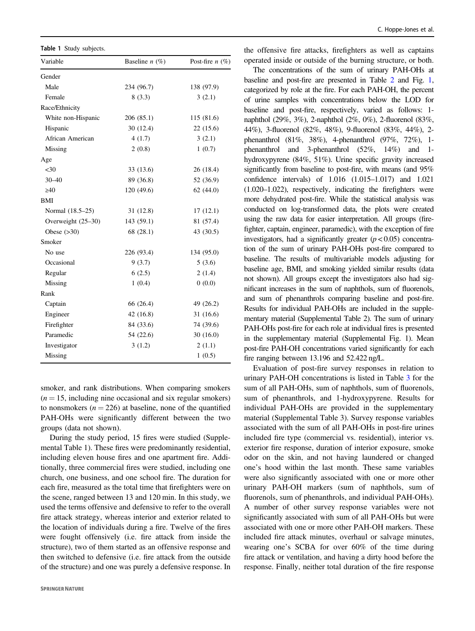<span id="page-3-0"></span>

|  |  | Table 1 Study subjects. |
|--|--|-------------------------|
|--|--|-------------------------|

| Variable           | Baseline $n$ (%) | Post-fire $n$ (%) |
|--------------------|------------------|-------------------|
| Gender             |                  |                   |
| Male               | 234 (96.7)       | 138 (97.9)        |
| Female             | 8(3.3)           | 3(2.1)            |
| Race/Ethnicity     |                  |                   |
| White non-Hispanic | 206 (85.1)       | 115 (81.6)        |
| Hispanic           | 30 (12.4)        | 22 (15.6)         |
| African American   | 4(1.7)           | 3(2.1)            |
| Missing            | 2(0.8)           | 1(0.7)            |
| Age                |                  |                   |
| $30$               | 33 (13.6)        | 26 (18.4)         |
| $30 - 40$          | 89 (36.8)        | 52 (36.9)         |
| $\geq 40$          | 120 (49.6)       | 62(44.0)          |
| BMI                |                  |                   |
| Normal (18.5–25)   | 31 (12.8)        | 17(12.1)          |
| Overweight (25-30) | 143 (59.1)       | 81 (57.4)         |
| Obese $(>30)$      | 68 (28.1)        | 43 (30.5)         |
| Smoker             |                  |                   |
| No use             | 226 (93.4)       | 134 (95.0)        |
| Occasional         | 9(3.7)           | 5(3.6)            |
| Regular            | 6(2.5)           | 2(1.4)            |
| Missing            | 1(0.4)           | 0(0.0)            |
| Rank               |                  |                   |
| Captain            | 66 (26.4)        | 49 (26.2)         |
| Engineer           | 42 (16.8)        | 31(16.6)          |
| Firefighter        | 84 (33.6)        | 74 (39.6)         |
| Paramedic          | 54 (22.6)        | 30(16.0)          |
| Investigator       | 3(1.2)           | 2(1.1)            |
| Missing            |                  | 1(0.5)            |

smoker, and rank distributions. When comparing smokers  $(n = 15$ , including nine occasional and six regular smokers) to nonsmokers  $(n = 226)$  at baseline, none of the quantified PAH-OHs were significantly different between the two groups (data not shown).

During the study period, 15 fires were studied (Supplemental Table 1). These fires were predominantly residential, including eleven house fires and one apartment fire. Additionally, three commercial fires were studied, including one church, one business, and one school fire. The duration for each fire, measured as the total time that firefighters were on the scene, ranged between 13 and 120 min. In this study, we used the terms offensive and defensive to refer to the overall fire attack strategy, whereas interior and exterior related to the location of individuals during a fire. Twelve of the fires were fought offensively (i.e. fire attack from inside the structure), two of them started as an offensive response and then switched to defensive (i.e. fire attack from the outside of the structure) and one was purely a defensive response. In

the offensive fire attacks, firefighters as well as captains operated inside or outside of the burning structure, or both.

The concentrations of the sum of urinary PAH-OHs at baseline and post-fire are presented in Table [2](#page-4-0) and Fig. [1,](#page-5-0) categorized by role at the fire. For each PAH-OH, the percent of urine samples with concentrations below the LOD for baseline and post-fire, respectively, varied as follows: 1 naphthol (29%, 3%), 2-naphthol (2%, 0%), 2-fluorenol (83%, 44%), 3-fluorenol (82%, 48%), 9-fluorenol (83%, 44%), 2 phenanthrol (81%, 38%), 4-phenanthrol (97%, 72%), 1 phenanthrol and 3-phenanthrol (52%, 14%) and 1 hydroxypyrene (84%, 51%). Urine specific gravity increased significantly from baseline to post-fire, with means (and 95% confidence intervals) of 1.016 (1.015–1.017) and 1.021 (1.020–1.022), respectively, indicating the firefighters were more dehydrated post-fire. While the statistical analysis was conducted on log-transformed data, the plots were created using the raw data for easier interpretation. All groups (firefighter, captain, engineer, paramedic), with the exception of fire investigators, had a significantly greater  $(p < 0.05)$  concentration of the sum of urinary PAH-OHs post-fire compared to baseline. The results of multivariable models adjusting for baseline age, BMI, and smoking yielded similar results (data not shown). All groups except the investigators also had significant increases in the sum of naphthols, sum of fluorenols, and sum of phenanthrols comparing baseline and post-fire. Results for individual PAH-OHs are included in the supplementary material (Supplemental Table 2). The sum of urinary PAH-OHs post-fire for each role at individual fires is presented in the supplementary material (Supplemental Fig. 1). Mean post-fire PAH-OH concentrations varied significantly for each fire ranging between 13.196 and 52.422 ng/L.

Evaluation of post-fire survey responses in relation to urinary PAH-OH concentrations is listed in Table [3](#page-6-0) for the sum of all PAH-OHs, sum of naphthols, sum of fluorenols, sum of phenanthrols, and 1-hydroxypyrene. Results for individual PAH-OHs are provided in the supplementary material (Supplemental Table 3). Survey response variables associated with the sum of all PAH-OHs in post-fire urines included fire type (commercial vs. residential), interior vs. exterior fire response, duration of interior exposure, smoke odor on the skin, and not having laundered or changed one's hood within the last month. These same variables were also significantly associated with one or more other urinary PAH-OH markers (sum of naphthols, sum of fluorenols, sum of phenanthrols, and individual PAH-OHs). A number of other survey response variables were not significantly associated with sum of all PAH-OHs but were associated with one or more other PAH-OH markers. These included fire attack minutes, overhaul or salvage minutes, wearing one's SCBA for over 60% of the time during fire attack or ventilation, and having a dirty hood before the response. Finally, neither total duration of the fire response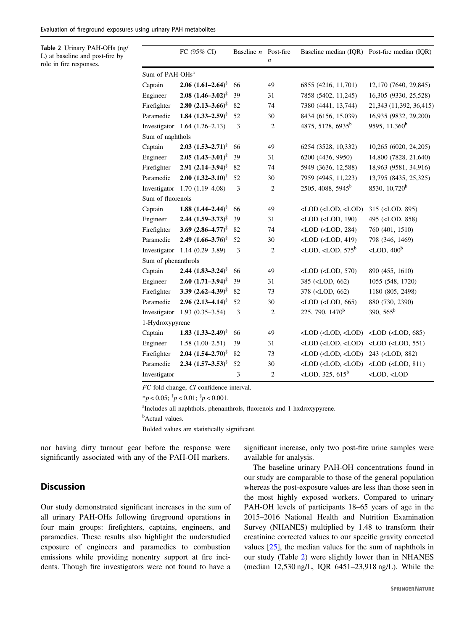<span id="page-4-0"></span>Table 2 Urinary PAH-OHs (ng/ L) at baseline and post-fire by role in fire responses.

|                             | FC $(95\% \text{ CI})$               | Baseline n Post-fire |                  |                                                                                                     | Baseline median (IQR) Post-fire median (IQR) |
|-----------------------------|--------------------------------------|----------------------|------------------|-----------------------------------------------------------------------------------------------------|----------------------------------------------|
|                             |                                      |                      | $\boldsymbol{n}$ |                                                                                                     |                                              |
| Sum of PAH-OHs <sup>a</sup> |                                      |                      |                  |                                                                                                     |                                              |
| Captain                     | $2.06$ $(1.61-2.64)^{\ddagger}$      | 66                   | 49               | 6855 (4216, 11,701)                                                                                 | 12,170 (7640, 29,845)                        |
| Engineer                    | $2.08$ $(1.46-3.02)^{\ddagger}$      | 39                   | 31               | 7858 (5402, 11,245)                                                                                 | 16,305 (9330, 25,528)                        |
| Firefighter                 | 2.80 $(2.13 - 3.66)^{\ddagger}$      | 82                   | 74               | 7380 (4441, 13,744)                                                                                 | 21,343 (11,392, 36,415)                      |
| Paramedic                   | 1.84 $(1.33 - 2.59)^{\ddagger}$      | 52                   | 30               | 8434 (6156, 15,039)                                                                                 | 16,935 (9832, 29,200)                        |
| Investigator                | $1.64(1.26-2.13)$                    | 3                    | $\overline{2}$   | 4875, 5128, 6935 <sup>b</sup>                                                                       | 9595, 11,360 <sup>b</sup>                    |
| Sum of naphthols            |                                      |                      |                  |                                                                                                     |                                              |
| Captain                     | $2.03$ $(1.53-2.71)^{\ddagger}$      | 66                   | 49               | 6254 (3528, 10,332)                                                                                 | 10,265 (6020, 24,205)                        |
| Engineer                    | $2.05$ $(1.43 - 3.01)^{\ddagger}$    | 39                   | 31               | 6200 (4436, 9950)                                                                                   | 14,800 (7828, 21,640)                        |
| Firefighter                 | $2.91(2.14 - 3.94)^{\ddagger}$       | 82                   | 74               | 5949 (3636, 12,588)                                                                                 | 18,963 (9581, 34,916)                        |
| Paramedic                   | $2.00$ $(1.32 - 3.10)^{\dagger}$     | 52                   | 30               | 7959 (4945, 11,223)                                                                                 | 13,795 (8435, 25,325)                        |
| Investigator                | $1.70(1.19-4.08)$                    | 3                    | $\overline{c}$   | 2505, 4088, 5945 <sup>b</sup>                                                                       | 8530, 10,720 <sup>b</sup>                    |
| Sum of fluorenols           |                                      |                      |                  |                                                                                                     |                                              |
| Captain                     | $1.88$ $(1.44 - 2.44)^{\frac{1}{4}}$ | 66                   | 49               | <lod (<lod,="" <lod)<="" td=""><td>315 (<lod, 895)<="" td=""></lod,></td></lod>                     | 315 ( <lod, 895)<="" td=""></lod,>           |
| Engineer                    | 2.44 $(1.59 - 3.73)^{\ddagger}$      | 39                   | 31               | $<$ LOD $(<$ LOD, 190)                                                                              | 495 ( <lod, 858)<="" td=""></lod,>           |
| Firefighter                 | 3.69 $(2.86-4.77)^{\ddagger}$        | 82                   | 74               | $<$ LOD $(<$ LOD, 284)                                                                              | 760 (401, 1510)                              |
| Paramedic                   | 2.49 $(1.66 - 3.76)^{\ddagger}$      | 52                   | 30               | $<$ LOD $(<$ LOD, 419)                                                                              | 798 (346, 1469)                              |
| Investigator                | $1.14(0.29 - 3.89)$                  | 3                    | $\overline{2}$   | <lod, <lod,="" <math="">575^b</lod,>                                                                | $\langle$ LOD, 400 <sup>b</sup>              |
| Sum of phenanthrols         |                                      |                      |                  |                                                                                                     |                                              |
| Captain                     | $2.44$ $(1.83 - 3.24)^{\ddagger}$    | 66                   | 49               | $\langle$ LOD $(\langle$ LOD, 570)                                                                  | 890 (455, 1610)                              |
| Engineer                    | $2.60$ $(1.71-3.94)^{\ddagger}$      | 39                   | 31               | 385 ( <lod, 662)<="" td=""><td>1055 (548, 1720)</td></lod,>                                         | 1055 (548, 1720)                             |
| Firefighter                 | 3.39 $(2.62 - 4.39)^{\ddagger}$      | 82                   | 73               | 378 ( <lod, 662)<="" td=""><td>1180 (805, 2498)</td></lod,>                                         | 1180 (805, 2498)                             |
| Paramedic                   | 2.96 $(2.13-4.14)^{\ddagger}$        | 52                   | 30               | $<$ LOD $(<$ LOD $, 665)$                                                                           | 880 (730, 2390)                              |
| Investigator                | $1.93(0.35 - 3.54)$                  | 3                    | $\overline{2}$   | 225, 790, 1470 <sup>b</sup>                                                                         | 390, $565^b$                                 |
| 1-Hydroxypyrene             |                                      |                      |                  |                                                                                                     |                                              |
| Captain                     | 1.83 $(1.33 - 2.49)^{\ddagger}$      | 66                   | 49               | $<$ LOD $(<$ LOD $, <$ LOD $)$                                                                      | $\langle$ LOD ( $\langle$ LOD, 685)          |
| Engineer                    | $1.58(1.00-2.51)$                    | 39                   | 31               | <lod (<lod,="" <lod)<="" td=""><td><math>\langle</math>LOD<math>(\langle</math>LOD, 551)</td></lod> | $\langle$ LOD $(\langle$ LOD, 551)           |
| Firefighter                 | $2.04$ $(1.54 - 2.70)^{\ddagger}$    | 82                   | 73               | <lod (<lod,="" <lod)<="" td=""><td>243 (<lod, 882)<="" td=""></lod,></td></lod>                     | 243 ( <lod, 882)<="" td=""></lod,>           |
| Paramedic                   | $2.34$ $(1.57-3.53)^{\ddagger}$      | 52                   | 30               | <lod (<lod,="" <lod)<="" td=""><td><math>\langle</math>LOD<math>(\langle</math>LOD, 811)</td></lod> | $\langle$ LOD $(\langle$ LOD, 811)           |
| Investigator                | $\overline{\phantom{a}}$             | 3                    | $\overline{2}$   | $\langle$ LOD, 325, 615 <sup>b</sup>                                                                | <lod, <lod<="" td=""></lod,>                 |

FC fold change, CI confidence interval.

\*p < 0.05;  $\frac{1}{7}p$  < 0.01;  $\frac{1}{7}p$  < 0.001.

a Includes all naphthols, phenanthrols, fluorenols and 1-hxdroxypyrene.

<sup>b</sup>Actual values.

Bolded values are statistically significant.

nor having dirty turnout gear before the response were significantly associated with any of the PAH-OH markers.

### significant increase, only two post-fire urine samples were available for analysis.

The baseline urinary PAH-OH concentrations found in

## **Discussion**

Our study demonstrated significant increases in the sum of all urinary PAH-OHs following fireground operations in four main groups: firefighters, captains, engineers, and paramedics. These results also highlight the understudied exposure of engineers and paramedics to combustion emissions while providing nonentry support at fire incidents. Though fire investigators were not found to have a our study are comparable to those of the general population whereas the post-exposure values are less than those seen in the most highly exposed workers. Compared to urinary PAH-OH levels of participants 18–65 years of age in the 2015–2016 National Health and Nutrition Examination Survey (NHANES) multiplied by 1.48 to transform their creatinine corrected values to our specific gravity corrected values [[25\]](#page-9-0), the median values for the sum of naphthols in our study (Table 2) were slightly lower than in NHANES (median 12,530 ng/L, IQR 6451–23,918 ng/L). While the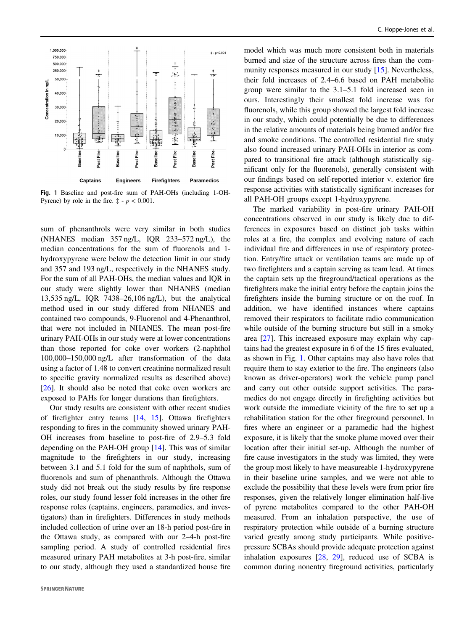<span id="page-5-0"></span>

Fig. 1 Baseline and post-fire sum of PAH-OHs (including 1-OH-Pyrene) by role in the fire.  $\ddagger$  -  $p < 0.001$ .

sum of phenanthrols were very similar in both studies (NHANES median 357 ng/L, IQR 233–572 ng/L), the median concentrations for the sum of fluorenols and 1 hydroxypyrene were below the detection limit in our study and 357 and 193 ng/L, respectively in the NHANES study. For the sum of all PAH-OHs, the median values and IQR in our study were slightly lower than NHANES (median 13,535 ng/L, IQR 7438–26,106 ng/L), but the analytical method used in our study differed from NHANES and contained two compounds, 9-Fluorenol and 4-Phenanthrol, that were not included in NHANES. The mean post-fire urinary PAH-OHs in our study were at lower concentrations than those reported for coke over workers (2-naphthol 100,000–150,000 ng/L after transformation of the data using a factor of 1.48 to convert creatinine normalized result to specific gravity normalized results as described above) [\[26](#page-9-0)]. It should also be noted that coke oven workers are exposed to PAHs for longer durations than firefighters.

Our study results are consistent with other recent studies of firefighter entry teams [\[14](#page-8-0), [15](#page-9-0)]. Ottawa firefighters responding to fires in the community showed urinary PAH-OH increases from baseline to post-fire of 2.9–5.3 fold depending on the PAH-OH group [\[14](#page-8-0)]. This was of similar magnitude to the firefighters in our study, increasing between 3.1 and 5.1 fold for the sum of naphthols, sum of fluorenols and sum of phenanthrols. Although the Ottawa study did not break out the study results by fire response roles, our study found lesser fold increases in the other fire response roles (captains, engineers, paramedics, and investigators) than in firefighters. Differences in study methods included collection of urine over an 18-h period post-fire in the Ottawa study, as compared with our 2–4-h post-fire sampling period. A study of controlled residential fires measured urinary PAH metabolites at 3-h post-fire, similar to our study, although they used a standardized house fire

model which was much more consistent both in materials burned and size of the structure across fires than the community responses measured in our study [\[15](#page-9-0)]. Nevertheless, their fold increases of 2.4–6.6 based on PAH metabolite group were similar to the 3.1–5.1 fold increased seen in ours. Interestingly their smallest fold increase was for fluorenols, while this group showed the largest fold increase in our study, which could potentially be due to differences in the relative amounts of materials being burned and/or fire and smoke conditions. The controlled residential fire study also found increased urinary PAH-OHs in interior as compared to transitional fire attack (although statistically significant only for the fluorenols), generally consistent with our findings based on self-reported interior v. exterior fire response activities with statistically significant increases for all PAH-OH groups except 1-hydroxypyrene.

The marked variability in post-fire urinary PAH-OH concentrations observed in our study is likely due to differences in exposures based on distinct job tasks within roles at a fire, the complex and evolving nature of each individual fire and differences in use of respiratory protection. Entry/fire attack or ventilation teams are made up of two firefighters and a captain serving as team lead. At times the captain sets up the fireground/tactical operations as the firefighters make the initial entry before the captain joins the firefighters inside the burning structure or on the roof. In addition, we have identified instances where captains removed their respirators to facilitate radio communication while outside of the burning structure but still in a smoky area [[27\]](#page-9-0). This increased exposure may explain why captains had the greatest exposure in 6 of the 15 fires evaluated, as shown in Fig. 1. Other captains may also have roles that require them to stay exterior to the fire. The engineers (also known as driver-operators) work the vehicle pump panel and carry out other outside support activities. The paramedics do not engage directly in firefighting activities but work outside the immediate vicinity of the fire to set up a rehabilitation station for the other fireground personnel. In fires where an engineer or a paramedic had the highest exposure, it is likely that the smoke plume moved over their location after their initial set-up. Although the number of fire cause investigators in the study was limited, they were the group most likely to have measureable 1-hydroxypyrene in their baseline urine samples, and we were not able to exclude the possibility that these levels were from prior fire responses, given the relatively longer elimination half-live of pyrene metabolites compared to the other PAH-OH measured. From an inhalation perspective, the use of respiratory protection while outside of a burning structure varied greatly among study participants. While positivepressure SCBAs should provide adequate protection against inhalation exposures [\[28](#page-9-0), [29\]](#page-9-0), reduced use of SCBA is common during nonentry fireground activities, particularly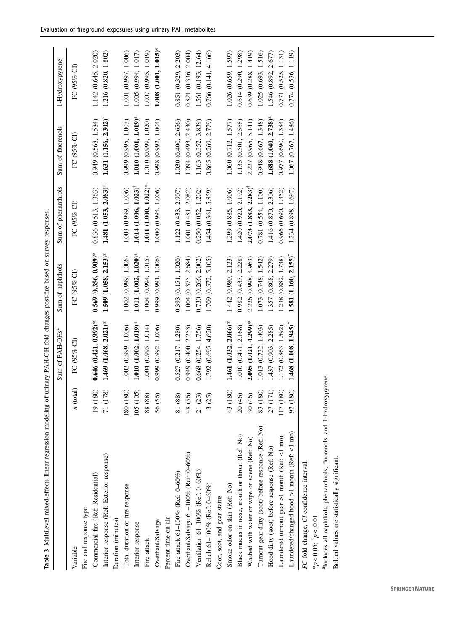|                                                                        |                                      | Sum of PAH-OHs <sup>a</sup>           | Sum of naphthols                      | Sum of phenanthrols                   | Sum of fluorenols                  | 1-Hydroxypyrene            |
|------------------------------------------------------------------------|--------------------------------------|---------------------------------------|---------------------------------------|---------------------------------------|------------------------------------|----------------------------|
| Variable                                                               | (total)                              | FC (95% CI)                           | FC (95% CI)                           | FC (95% CI)                           | FC (95% CI)                        | FC (95% CI)                |
| Fire and response type                                                 |                                      |                                       |                                       |                                       |                                    |                            |
| Commercial fire (Ref: Residential)                                     | (180)<br>$\overline{19}$             | $0.646$ (0.421, 0.992)*               | $0.569(0.356, 0.909)$ *               | 0.836 (0.513, 1.363)                  | 0.949(0.568, 1.584)                | 1.142 (0.645, 2.020)       |
| Interior response (Ref: Exterior response)                             | (178)<br>$\overline{7}$              | $1.469$ $(1.068, 2.021)$ *            | $1.509$ $(1.058, 2.153)*$             | $1.481(1.053, 2.083)$ *               | $1.631$ $(1.156, 2.302)^{\dagger}$ | 1.216 (0.820, 1.802)       |
| Duration (minutes)                                                     |                                      |                                       |                                       |                                       |                                    |                            |
| Total duration of fire response                                        | (180)<br>180                         | 1.002 (0.999, 1.006)                  | 1.002 (0.999, 1.006)                  | 1.003 (0.999, 1.006)                  | 0.999 (0.995, 1.003)               | 1.001 (0.997, 1.006)       |
| Interior response                                                      | (105)<br>105                         | $1.010(1.002, 1.019)$ *               | $1.011(1.002, 1.020)$ *               | $1.014$ $(1.006, 1.023)$ <sup>†</sup> | $1.010(1.001, 1.019)$ *            | 1.005 (0.994, 1.017)       |
| Fire attack                                                            | $^{(88)}$<br>88                      | 1.004 (0.995, 1.014)                  | 1.004 (0.994, 1.015)                  | $1.011(1.000, 1.022)^*$               | 1.010 (0.999, 1.020)               | 1.007 (0.995, 1.019)       |
| Overhaul/Salvage                                                       | (56)<br>56                           | 0.999 (0.992, 1.006)                  | 0.999 (0.991, 1.006)                  | 1.000 (0.994, 1.006)                  | 0.998 (0.992, 1.004)               | $1.008$ $(1.001, 1.015)$ * |
| Percent time on air                                                    |                                      |                                       |                                       |                                       |                                    |                            |
| Fire attack 61-100% (Ref: 0-60%)                                       | (88)<br>$\overline{81}$              | 0.527 (0.217, 1.280)                  | 0.393 (0.151, 1.020)                  | 1.122 (0.433, 2.907)                  | 1.030 (0.400, 2.656)               | 0.851 (0.329, 2.203)       |
| Overhaul/Salvage 61-100% (Ref: 0-60%)                                  | (56)<br>48                           | 0.949 (0.400, 2.253)                  | 1.004 (0.375, 2.684)                  | 1.001 (0.481, 2.082)                  | 1.094 (0.493, 2.430)               | 0.821(0.336, 2.004)        |
| Ventilation 61-100% (Ref: $0-60\%$ )                                   | (23)<br>$\overline{21}$              | 0.668 (0.254, 1.756)                  | 0.730 (0.266, 2.002)                  | 0.250(0.052, 1.202)                   | 1.163 (0.352, 3.839)               | 1.561 (0.193, 12.64)       |
| Rehab 61-100% (Ref: 0-60%)                                             | (25)                                 | 1.792 (0.695, 4.620)                  | 1.709 (0.572, 5.105)                  | 1.454 (0.361, 5.859)                  | 0.865 (0.269, 2.779)               | $0.766$ $(0.141, 4.166)$   |
| Odor, soot, and gear status                                            |                                      |                                       |                                       |                                       |                                    |                            |
| Smoke odor on skin (Ref: No)                                           | (180)<br>43                          | $1.461(1.032, 2.066)$ *               | 1.442 (0.980, 2.123)                  | 1.299 (0.885, 1.906)                  | 1.060 (0.712, 1.577)               | 1.026 (0.659, 1.597)       |
| Black mucus in nose, mouth or throat (Ref: No)                         | $\widehat{\Theta}$<br>$\overline{c}$ | 1.010 (0.471, 2.168)                  | 0.982(0.433, 2.228)                   | 1.420 (0.920, 2.192)                  | 1.135 (0.501, 2.568)               | 0.614 (0.290, 1.298)       |
| Washed with water or wipe on scene (Ref: No)                           | $\widehat{\Theta}$<br>30             | $2.095(1.021, 4.299)$ *               | 2.226 (0.998, 4.963)                  | $2.073$ $(1.883, 2.283)$ <sup>†</sup> | 2.227 (0.965, 5.141)               | 0.639(0.288, 1.419)        |
| Turnout gear dirty (soot) before response (Ref: No)                    | $(180)$<br>83                        | 1.013 (0.732, 1.403)                  | 1.073(0.748, 1.542)                   | 0.781 (0.554, 1.100)                  | 0.948 (0.667, 1.348)               | 1.025 (0.693, 1.516)       |
| Hood dirty (soot) before response (Ref: No)                            | (171)<br>27                          | 1.437 (0.903, 2.285)                  | 1.357 (0.808, 2.279)                  | 1.416 (0.870, 2.306)                  | $1.688$ (1.040, 2.738)*            | 1.546 (0.892, 2.677)       |
| Laundered turnout gear >1 month (Ref: <1 mo)                           | (180)<br>117                         | 1.172 (0.863, 1.592)                  | 1.238 (0.882, 1.738)                  | 0.966 (0.690, 1.352)                  | 0.977 (0.690, 1.384)               | 0.771 (0.525, 1.131)       |
| Laundered/changed hood >1 month (Ref: <1 mo)                           | (180)<br>92                          | $1.468$ $(1.108, 1.945)$ <sup>†</sup> | $1.581$ $(1.160, 2.155)$ <sup>†</sup> | 1.234 (0.898, 1.697)                  | 1.067 (0.767, 1.486)               | 0.774 (0.536, 1.119)       |
| FC fold change, CI confidence interval.<br>* $p < 0.05$ ; $p < 0.01$ . |                                      |                                       |                                       |                                       |                                    |                            |
|                                                                        |                                      |                                       |                                       |                                       |                                    |                            |

<span id="page-6-0"></span>Evaluation of fireground exposures using urinary PAH metabolites

**SPRINGER NATURE** 

<sup>a</sup>Includes all naphthols, phenanthrols, fluorenols, and 1-hxdroxypyrene.

<sup>a</sup>Includes all naphthols, phenanthrols, fluorenols, and 1-hxdroxypyrene.<br>Bolded values are statistically significant.

Bolded values are statistically significant.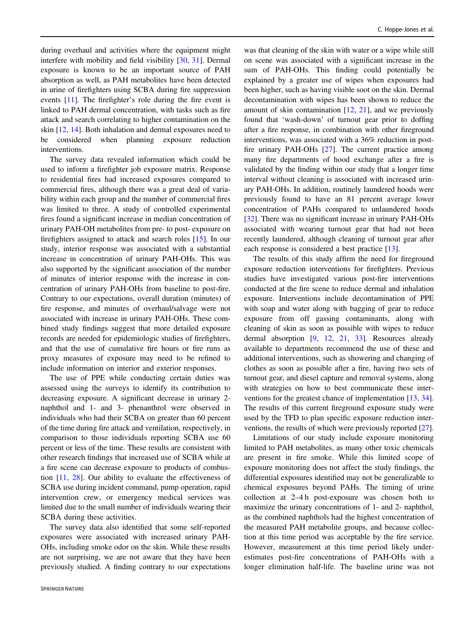during overhaul and activities where the equipment might interfere with mobility and field visibility [[30,](#page-9-0) [31\]](#page-9-0). Dermal exposure is known to be an important source of PAH absorption as well, as PAH metabolites have been detected in urine of firefighters using SCBA during fire suppression events [[11\]](#page-8-0). The firefighter's role during the fire event is linked to PAH dermal concentration, with tasks such as fire attack and search correlating to higher contamination on the skin [\[12](#page-8-0), [14](#page-8-0)]. Both inhalation and dermal exposures need to be considered when planning exposure reduction interventions.

The survey data revealed information which could be used to inform a firefighter job exposure matrix. Response to residential fires had increased exposures compared to commercial fires, although there was a great deal of variability within each group and the number of commercial fires was limited to three. A study of controlled experimental fires found a significant increase in median concentration of urinary PAH-OH metabolites from pre- to post- exposure on firefighters assigned to attack and search roles [\[15](#page-9-0)]. In our study, interior response was associated with a substantial increase in concentration of urinary PAH-OHs. This was also supported by the significant association of the number of minutes of interior response with the increase in concentration of urinary PAH-OHs from baseline to post-fire. Contrary to our expectations, overall duration (minutes) of fire response, and minutes of overhaul/salvage were not associated with increase in urinary PAH-OHs. These combined study findings suggest that more detailed exposure records are needed for epidemiologic studies of firefighters, and that the use of cumulative fire hours or fire runs as proxy measures of exposure may need to be refined to include information on interior and exterior responses.

The use of PPE while conducting certain duties was assessed using the surveys to identify its contribution to decreasing exposure. A significant decrease in urinary 2 naphthol and 1- and 3- phenanthrol were observed in individuals who had their SCBA on greater than 60 percent of the time during fire attack and ventilation, respectively, in comparison to those individuals reporting SCBA use 60 percent or less of the time. These results are consistent with other research findings that increased use of SCBA while at a fire scene can decrease exposure to products of combustion [[11,](#page-8-0) [28\]](#page-9-0). Our ability to evaluate the effectiveness of SCBA use during incident command, pump operation, rapid intervention crew, or emergency medical services was limited due to the small number of individuals wearing their SCBA during these activities.

The survey data also identified that some self-reported exposures were associated with increased urinary PAH-OHs, including smoke odor on the skin. While these results are not surprising, we are not aware that they have been previously studied. A finding contrary to our expectations

was that cleaning of the skin with water or a wipe while still on scene was associated with a significant increase in the sum of PAH-OHs. This finding could potentially be explained by a greater use of wipes when exposures had been higher, such as having visible soot on the skin. Dermal decontamination with wipes has been shown to reduce the amount of skin contamination [\[12](#page-8-0), [21](#page-9-0)], and we previously found that 'wash-down' of turnout gear prior to doffing after a fire response, in combination with other fireground interventions, was associated with a 36% reduction in postfire urinary PAH-OHs [\[27](#page-9-0)]. The current practice among many fire departments of hood exchange after a fire is validated by the finding within our study that a longer time interval without cleaning is associated with increased urinary PAH-OHs. In addition, routinely laundered hoods were previously found to have an 81 percent average lower concentration of PAHs compared to unlaundered hoods [\[32](#page-9-0)]. There was no significant increase in urinary PAH-OHs associated with wearing turnout gear that had not been recently laundered, although cleaning of turnout gear after each response is considered a best practice [\[13](#page-8-0)].

The results of this study affirm the need for fireground exposure reduction interventions for firefighters. Previous studies have investigated various post-fire interventions conducted at the fire scene to reduce dermal and inhalation exposure. Interventions include decontamination of PPE with soap and water along with bagging of gear to reduce exposure from off gassing contaminants, along with cleaning of skin as soon as possible with wipes to reduce dermal absorption [\[9](#page-8-0), [12,](#page-8-0) [21,](#page-9-0) [33](#page-9-0)]. Resources already available to departments recommend the use of these and additional interventions, such as showering and changing of clothes as soon as possible after a fire, having two sets of turnout gear, and diesel capture and removal systems, along with strategies on how to best communicate these interventions for the greatest chance of implementation [\[13](#page-8-0), [34\]](#page-9-0). The results of this current fireground exposure study were used by the TFD to plan specific exposure reduction interventions, the results of which were previously reported [[27\]](#page-9-0).

Limitations of our study include exposure monitoring limited to PAH metabolites, as many other toxic chemicals are present in fire smoke. While this limited scope of exposure monitoring does not affect the study findings, the differential exposures identified may not be generalizable to chemical exposures beyond PAHs. The timing of urine collection at 2–4 h post-exposure was chosen both to maximize the urinary concentrations of 1- and 2- naphthol, as the combined naphthols had the highest concentration of the measured PAH metabolite groups, and because collection at this time period was acceptable by the fire service. However, measurement at this time period likely underestimates post-fire concentrations of PAH-OHs with a longer elimination half-life. The baseline urine was not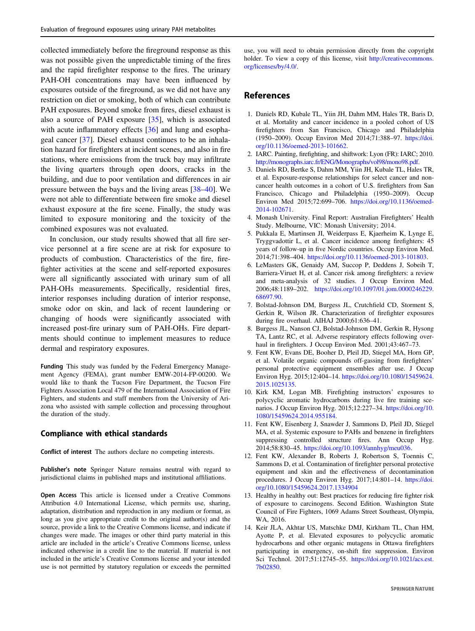<span id="page-8-0"></span>collected immediately before the fireground response as this was not possible given the unpredictable timing of the fires and the rapid firefighter response to the fires. The urinary PAH-OH concentrations may have been influenced by exposures outside of the fireground, as we did not have any restriction on diet or smoking, both of which can contribute PAH exposures. Beyond smoke from fires, diesel exhaust is also a source of PAH exposure [\[35](#page-9-0)], which is associated with acute inflammatory effects [\[36](#page-9-0)] and lung and esophageal cancer [[37\]](#page-9-0). Diesel exhaust continues to be an inhalation hazard for firefighters at incident scenes, and also in fire stations, where emissions from the truck bay may infiltrate the living quarters through open doors, cracks in the building, and due to poor ventilation and differences in air pressure between the bays and the living areas [[38](#page-9-0)–[40\]](#page-9-0). We were not able to differentiate between fire smoke and diesel exhaust exposure at the fire scene. Finally, the study was limited to exposure monitoring and the toxicity of the combined exposures was not evaluated.

In conclusion, our study results showed that all fire service personnel at a fire scene are at risk for exposure to products of combustion. Characteristics of the fire, firefighter activities at the scene and self-reported exposures were all significantly associated with urinary sum of all PAH-OHs measurements. Specifically, residential fires, interior responses including duration of interior response, smoke odor on skin, and lack of recent laundering or changing of hoods were significantly associated with increased post-fire urinary sum of PAH-OHs. Fire departments should continue to implement measures to reduce dermal and respiratory exposures.

Funding This study was funded by the Federal Emergency Management Agency (FEMA), grant number EMW-2014-FP-00200. We would like to thank the Tucson Fire Department, the Tucson Fire Fighters Association Local 479 of the International Association of Fire Fighters, and students and staff members from the University of Arizona who assisted with sample collection and processing throughout the duration of the study.

#### Compliance with ethical standards

Conflict of interest The authors declare no competing interests.

Publisher's note Springer Nature remains neutral with regard to jurisdictional claims in published maps and institutional affiliations.

Open Access This article is licensed under a Creative Commons Attribution 4.0 International License, which permits use, sharing, adaptation, distribution and reproduction in any medium or format, as long as you give appropriate credit to the original author(s) and the source, provide a link to the Creative Commons license, and indicate if changes were made. The images or other third party material in this article are included in the article's Creative Commons license, unless indicated otherwise in a credit line to the material. If material is not included in the article's Creative Commons license and your intended use is not permitted by statutory regulation or exceeds the permitted

use, you will need to obtain permission directly from the copyright holder. To view a copy of this license, visit [http://creativecommons.](http://creativecommons.org/licenses/by/4.0/) [org/licenses/by/4.0/](http://creativecommons.org/licenses/by/4.0/).

## References

- 1. Daniels RD, Kubale TL, Yiin JH, Dahm MM, Hales TR, Baris D, et al. Mortality and cancer incidence in a pooled cohort of US firefighters from San Francisco, Chicago and Philadelphia (1950–2009). Occup Environ Med 2014;71:388–97. [https://doi.](https://doi.org/10.1136/oemed-2013-101662) [org/10.1136/oemed-2013-101662](https://doi.org/10.1136/oemed-2013-101662).
- 2. IARC. Painting, firefighting, and shiftwork: Lyon (FR): IARC; 2010. [http://monographs.iarc.fr/ENG/Monographs/vol98/mono98.pdf](http://monographs.iarc.�fr/ENG/Monographs/vol98/mono98.pdf).
- 3. Daniels RD, Bertke S, Dahm MM, Yiin JH, Kubale TL, Hales TR, et al. Exposure-response relationships for select cancer and noncancer health outcomes in a cohort of U.S. firefighters from San Francisco, Chicago and Philadelphia (1950–2009). Occup Environ Med 2015;72:699–706. [https://doi.org/10.1136/oemed-](https://doi.org/10.1136/oemed-2014-102671)[2014-102671](https://doi.org/10.1136/oemed-2014-102671).
- 4. Monash University. Final Report: Australian Firefighters' Health Study. Melbourne, VIC: Monash University; 2014.
- 5. Pukkala E, Martinsen JI, Weiderpass E, Kjaerheim K, Lynge E, Tryggvadottir L, et al. Cancer incidence among firefighters: 45 years of follow-up in five Nordic countries. Occup Environ Med. 2014;71:398–404. <https://doi.org/10.1136/oemed-2013-101803>.
- 6. LeMasters GK, Genaidy AM, Succop P, Deddens J, Sobeih T, Barriera-Viruet H, et al. Cancer risk among firefighters: a review and meta-analysis of 32 studies. J Occup Environ Med. 2006;48:1189–202. [https://doi.org/10.1097/01.jom.0000246229.](https://doi.org/10.1097/01.jom.0000246229.68697.90) [68697.90.](https://doi.org/10.1097/01.jom.0000246229.68697.90)
- 7. Bolstad-Johnson DM, Burgess JL, Crutchfield CD, Storment S, Gerkin R, Wilson JR. Characterization of firefighter exposures during fire overhaul. AIHAJ 2000;61:636–41.
- 8. Burgess JL, Nanson CJ, Bolstad-Johnson DM, Gerkin R, Hysong TA, Lantz RC, et al. Adverse respiratory effects following overhaul in firefighters. J Occup Environ Med. 2001;43:467-73.
- 9. Fent KW, Evans DE, Booher D, Pleil JD, Stiegel MA, Horn GP, et al. Volatile organic compounds off-gassing from firefighters' personal protective equipment ensembles after use. J Occup Environ Hyg. 2015;12:404–14. [https://doi.org/10.1080/15459624.](https://doi.org/10.1080/15459624.2015.1025135) [2015.1025135.](https://doi.org/10.1080/15459624.2015.1025135)
- 10. Kirk KM, Logan MB. Firefighting instructors' exposures to polycyclic aromatic hydrocarbons during live fire training scenarios. J Occup Environ Hyg. 2015;12:227–34. [https://doi.org/10.](https://doi.org/10.1080/15459624.2014.955184) [1080/15459624.2014.955184.](https://doi.org/10.1080/15459624.2014.955184)
- 11. Fent KW, Eisenberg J, Snawder J, Sammons D, Pleil JD, Stiegel MA, et al. Systemic exposure to PAHs and benzene in firefighters suppressing controlled structure fires. Ann Occup Hyg. 2014;58:830–45. <https://doi.org/10.1093/annhyg/meu036>.
- 12. Fent KW, Alexander B, Roberts J, Robertson S, Toennis C, Sammons D, et al. Contamination of firefighter personal protective equipment and skin and the effectiveness of decontamination procedures. J Occup Environ Hyg. 2017;14:801–14. [https://doi.](https://doi.org/10.1080/15459624.2017.1334904) [org/10.1080/15459624.2017.1334904](https://doi.org/10.1080/15459624.2017.1334904)
- 13. Healthy in healthy out: Best practices for reducing fire fighter risk of exposure to carcinogens. Second Edition. Washington State Council of Fire Fighters, 1069 Adams Street Southeast, Olympia, WA, 2016.
- 14. Keir JLA, Akhtar US, Matschke DMJ, Kirkham TL, Chan HM, Ayotte P, et al. Elevated exposures to polycyclic aromatic hydrocarbons and other organic mutagens in Ottawa firefighters participating in emergency, on-shift fire suppression. Environ Sci Technol. 2017;51:12745–55. [https://doi.org/10.1021/acs.est.](https://doi.org/10.1021/acs.est.7b02850) [7b02850.](https://doi.org/10.1021/acs.est.7b02850)